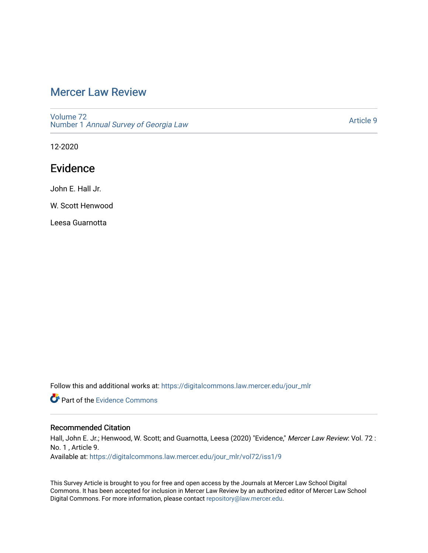# [Mercer Law Review](https://digitalcommons.law.mercer.edu/jour_mlr)

[Volume 72](https://digitalcommons.law.mercer.edu/jour_mlr/vol72) Number 1 [Annual Survey of Georgia Law](https://digitalcommons.law.mercer.edu/jour_mlr/vol72/iss1) 

[Article 9](https://digitalcommons.law.mercer.edu/jour_mlr/vol72/iss1/9) 

12-2020

## Evidence

John E. Hall Jr.

W. Scott Henwood

Leesa Guarnotta

Follow this and additional works at: [https://digitalcommons.law.mercer.edu/jour\\_mlr](https://digitalcommons.law.mercer.edu/jour_mlr?utm_source=digitalcommons.law.mercer.edu%2Fjour_mlr%2Fvol72%2Fiss1%2F9&utm_medium=PDF&utm_campaign=PDFCoverPages)

**C** Part of the Evidence Commons

## Recommended Citation

Hall, John E. Jr.; Henwood, W. Scott; and Guarnotta, Leesa (2020) "Evidence," Mercer Law Review: Vol. 72 : No. 1 , Article 9.

Available at: [https://digitalcommons.law.mercer.edu/jour\\_mlr/vol72/iss1/9](https://digitalcommons.law.mercer.edu/jour_mlr/vol72/iss1/9?utm_source=digitalcommons.law.mercer.edu%2Fjour_mlr%2Fvol72%2Fiss1%2F9&utm_medium=PDF&utm_campaign=PDFCoverPages)

This Survey Article is brought to you for free and open access by the Journals at Mercer Law School Digital Commons. It has been accepted for inclusion in Mercer Law Review by an authorized editor of Mercer Law School Digital Commons. For more information, please contact [repository@law.mercer.edu](mailto:repository@law.mercer.edu).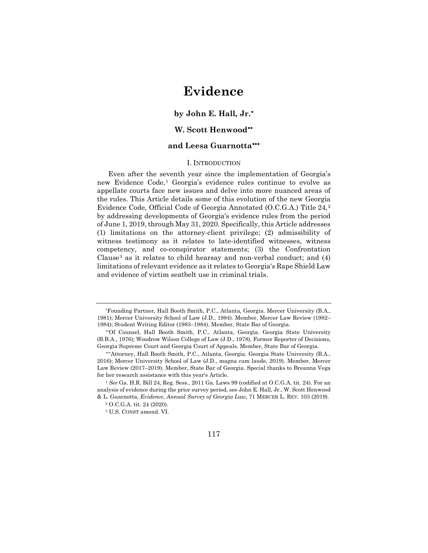# **Evidence**

## **by John E. Hall, Jr.**[∗](#page-1-0)

## **W. Scott Henwood**[∗∗](#page-1-1)

## **and Leesa Guarnotta**[∗∗∗](#page-1-2)

#### I. INTRODUCTION

Even after the seventh year since the implementation of Georgia's new Evidence Code,[1](#page-1-3) Georgia's evidence rules continue to evolve as appellate courts face new issues and delve into more nuanced areas of the rules. This Article details some of this evolution of the new Georgia Evidence Code, Official Code of Georgia Annotated (O.C.G.A.) Title 24,[2](#page-1-4) by addressing developments of Georgia's evidence rules from the period of June 1, 2019, through May 31, 2020. Specifically, this Article addresses (1) limitations on the attorney-client privilege; (2) admissibility of witness testimony as it relates to late-identified witnesses, witness competency, and co-conspirator statements; (3) the Confrontation Clause[3](#page-1-5) as it relates to child hearsay and non-verbal conduct; and (4) limitations of relevant evidence as it relates to Georgia's Rape Shield Law and evidence of victim seatbelt use in criminal trials.



<span id="page-1-0"></span><sup>∗</sup> Founding Partner, Hall Booth Smith, P.C., Atlanta, Georgia. Mercer University (B.A., 1981); Mercer University School of Law (J.D., 1984). Member, Mercer Law Review (1982– 1984); Student Writing Editor (1983–1984). Member, State Bar of Georgia.

<span id="page-1-1"></span><sup>∗∗</sup> Of Counsel, Hall Booth Smith, P.C., Atlanta, Georgia. Georgia State University (B.B.A., 1976); Woodrow Wilson College of Law (J.D., 1978). Former Reporter of Decisions, Georgia Supreme Court and Georgia Court of Appeals. Member, State Bar of Georgia.

<span id="page-1-2"></span><sup>∗∗∗</sup> Attorney, Hall Booth Smith, P.C., Atlanta, Georgia. Georgia State University (B.A., 2016); Mercer University School of Law (J.D., magna cum laude, 2019). Member, Mercer Law Review (2017–2019). Member, State Bar of Georgia. Special thanks to Breanna Vega for her research assistance with this year's Article.

<span id="page-1-5"></span><span id="page-1-4"></span><span id="page-1-3"></span><sup>1</sup> *See* Ga. H.R. Bill 24, Reg. Sess., 2011 Ga. Laws 99 (codified at O.C.G.A. tit. 24). For an analysis of evidence during the prior survey period, see John E. Hall, Jr., W. Scott Henwood & L. Guarnotta, *Evidence*, *Annual Survey of Georgia Law*, 71 MERCER L. REV. 103 (2019).

<sup>2</sup> O.C.G.A. tit. 24 (2020).

<sup>3</sup> U.S. CONST amend. VI.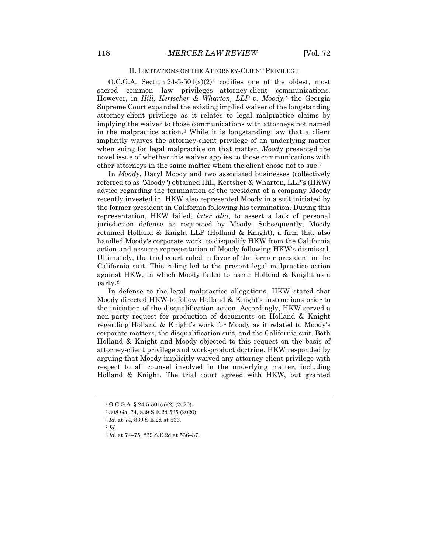### II. LIMITATIONS ON THE ATTORNEY-CLIENT PRIVILEGE

O.C.G.A. Section  $24-5-501(a)(2)^4$  $24-5-501(a)(2)^4$  $24-5-501(a)(2)^4$  codifies one of the oldest, most sacred common law privileges—attorney-client communications. However, in *Hill, Kertscher & Wharton, LLP v. Moody*,<sup>[5](#page-2-1)</sup> the Georgia Supreme Court expanded the existing implied waiver of the longstanding attorney-client privilege as it relates to legal malpractice claims by implying the waiver to those communications with attorneys not named in the malpractice action.<sup>[6](#page-2-2)</sup> While it is longstanding law that a client implicitly waives the attorney-client privilege of an underlying matter when suing for legal malpractice on that matter, *Moody* presented the novel issue of whether this waiver applies to those communications with other attorneys in the same matter whom the client chose not to sue.[7](#page-2-3)

In *Moody*, Daryl Moody and two associated businesses (collectively referred to as "Moody") obtained Hill, Kertsher & Wharton, LLP's (HKW) advice regarding the termination of the president of a company Moody recently invested in. HKW also represented Moody in a suit initiated by the former president in California following his termination. During this representation, HKW failed, *inter alia*, to assert a lack of personal jurisdiction defense as requested by Moody. Subsequently, Moody retained Holland & Knight LLP (Holland & Knight), a firm that also handled Moody's corporate work, to disqualify HKW from the California action and assume representation of Moody following HKW's dismissal. Ultimately, the trial court ruled in favor of the former president in the California suit. This ruling led to the present legal malpractice action against HKW, in which Moody failed to name Holland & Knight as a party.[8](#page-2-4)

In defense to the legal malpractice allegations, HKW stated that Moody directed HKW to follow Holland & Knight's instructions prior to the initiation of the disqualification action. Accordingly, HKW served a non-party request for production of documents on Holland & Knight regarding Holland & Knight's work for Moody as it related to Moody's corporate matters, the disqualification suit, and the California suit. Both Holland & Knight and Moody objected to this request on the basis of attorney-client privilege and work-product doctrine. HKW responded by arguing that Moody implicitly waived any attorney-client privilege with respect to all counsel involved in the underlying matter, including Holland & Knight. The trial court agreed with HKW, but granted

<span id="page-2-0"></span><sup>4</sup> O.C.G.A. § 24-5-501(a)(2) (2020).

<span id="page-2-1"></span><sup>5</sup> 308 Ga. 74, 839 S.E.2d 535 (2020).

<sup>6</sup> *Id.* at 74, 839 S.E.2d at 536.

<span id="page-2-3"></span><span id="page-2-2"></span><sup>7</sup> *Id.*

<span id="page-2-4"></span><sup>8</sup> *Id.* at 74–75, 839 S.E.2d at 536–37.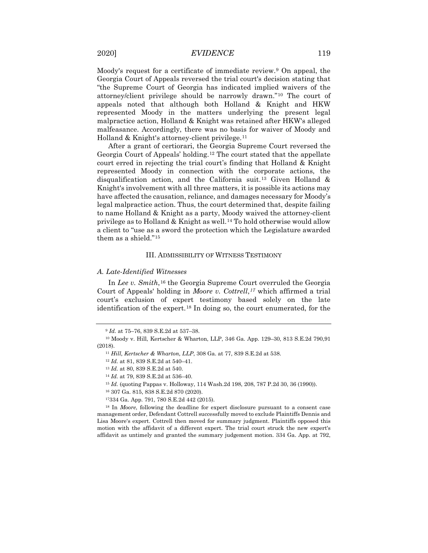Moody's request for a certificate of immediate review.[9](#page-3-0) On appeal, the Georgia Court of Appeals reversed the trial court's decision stating that "the Supreme Court of Georgia has indicated implied waivers of the attorney/client privilege should be narrowly drawn."[10](#page-3-1) The court of appeals noted that although both Holland & Knight and HKW represented Moody in the matters underlying the present legal malpractice action, Holland & Knight was retained after HKW's alleged malfeasance. Accordingly, there was no basis for waiver of Moody and Holland & Knight's attorney-client privilege.[11](#page-3-2)

After a grant of certiorari, the Georgia Supreme Court reversed the Georgia Court of Appeals' holding.[12](#page-3-3) The court stated that the appellate court erred in rejecting the trial court's finding that Holland & Knight represented Moody in connection with the corporate actions, the disqualification action, and the California suit.[13](#page-3-4) Given Holland & Knight's involvement with all three matters, it is possible its actions may have affected the causation, reliance, and damages necessary for Moody's legal malpractice action. Thus, the court determined that, despite failing to name Holland & Knight as a party, Moody waived the attorney-client privilege as to Holland & Knight as well.<sup>[14](#page-3-5)</sup> To hold otherwise would allow a client to "use as a sword the protection which the Legislature awarded them as a shield."[15](#page-3-6)

#### III. ADMISSIBILITY OF WITNESS TESTIMONY

#### *A. Late-Identified Witnesses*

In *Lee v. Smith*,<sup>[16](#page-3-7)</sup> the Georgia Supreme Court overruled the Georgia Court of Appeals' holding in *Moore v. Cottrell*,*[17](#page-3-8)* which affirmed a trial court's exclusion of expert testimony based solely on the late identification of the expert.[18](#page-3-9) In doing so, the court enumerated, for the

<sup>9</sup> *Id.* at 75–76, 839 S.E.2d at 537–38.

<span id="page-3-4"></span><span id="page-3-3"></span><span id="page-3-2"></span><span id="page-3-1"></span><span id="page-3-0"></span><sup>10</sup> Moody v. Hill, Kertscher & Wharton, LLP, 346 Ga. App. 129–30, 813 S.E.2d 790,91 (2018).

<sup>11</sup> *Hill, Kertscher & Wharton, LLP*, 308 Ga. at 77, 839 S.E.2d at 538.

<sup>12</sup> *Id.* at 81, 839 S.E.2d at 540–41.

<sup>13</sup> *Id.* at 80, 839 S.E.2d at 540.

<sup>14</sup> *Id.* at 79, 839 S.E.2d at 536–40.

<sup>15</sup> *Id.* (quoting Pappas v. Holloway, 114 Wash.2d 198, 208, 787 P.2d 30, 36 (1990)).

<sup>16</sup> 307 Ga. 815, 838 S.E.2d 870 (2020).

<sup>17334</sup> Ga. App. 791, 780 S.E.2d 442 (2015).

<span id="page-3-9"></span><span id="page-3-8"></span><span id="page-3-7"></span><span id="page-3-6"></span><span id="page-3-5"></span><sup>&</sup>lt;sup>18</sup> In *Moore*, following the deadline for expert disclosure pursuant to a consent case management order, Defendant Cottrell successfully moved to exclude Plaintiffs Dennis and Lisa Moore's expert. Cottrell then moved for summary judgment. Plaintiffs opposed this motion with the affidavit of a different expert. The trial court struck the new expert's affidavit as untimely and granted the summary judgement motion. 334 Ga. App. at 792,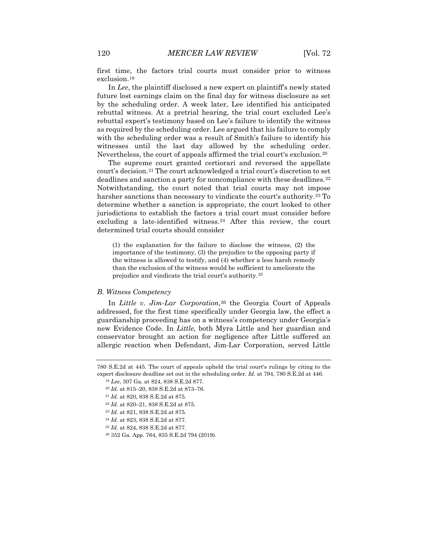first time, the factors trial courts must consider prior to witness exclusion.[19](#page-4-0)

In *Lee*, the plaintiff disclosed a new expert on plaintiff's newly stated future lost earnings claim on the final day for witness disclosure as set by the scheduling order. A week later, Lee identified his anticipated rebuttal witness. At a pretrial hearing, the trial court excluded Lee's rebuttal expert's testimony based on Lee's failure to identify the witness as required by the scheduling order. Lee argued that his failure to comply with the scheduling order was a result of Smith's failure to identify his witnesses until the last day allowed by the scheduling order. Nevertheless, the court of appeals affirmed the trial court's exclusion.[20](#page-4-1)

The supreme court granted certiorari and reversed the appellate court's decision.[21](#page-4-2) The court acknowledged a trial court's discretion to set deadlines and sanction a party for noncompliance with these deadlines.<sup>[22](#page-4-3)</sup> Notwithstanding, the court noted that trial courts may not impose harsher sanctions than necessary to vindicate the court's authority.<sup>[23](#page-4-4)</sup> To determine whether a sanction is appropriate, the court looked to other jurisdictions to establish the factors a trial court must consider before excluding a late-identified witness.<sup>[24](#page-4-5)</sup> After this review, the court determined trial courts should consider

(1) the explanation for the failure to disclose the witness, (2) the importance of the testimony, (3) the prejudice to the opposing party if the witness is allowed to testify, and (4) whether a less harsh remedy than the exclusion of the witness would be sufficient to ameliorate the prejudice and vindicate the trial court's authority.[25](#page-4-6)

#### *B. Witness Competency*

In *Little v. Jim-Lar Corporation*,<sup>[26](#page-4-7)</sup> the Georgia Court of Appeals addressed, for the first time specifically under Georgia law, the effect a guardianship proceeding has on a witness's competency under Georgia's new Evidence Code. In *Little*, both Myra Little and her guardian and conservator brought an action for negligence after Little suffered an allergic reaction when Defendant, Jim-Lar Corporation, served Little

<span id="page-4-3"></span><span id="page-4-2"></span><span id="page-4-1"></span><span id="page-4-0"></span><sup>780</sup> S.E.2d at 445. The court of appeals upheld the trial court's rulings by citing to the expert disclosure deadline set out in the scheduling order. *Id.* at 794, 780 S.E.2d at 446.

<sup>19</sup> *Lee*, 307 Ga. at 824, 838 S.E.2d 877.

<sup>20</sup> *Id.* at 815–20, 838 S.E.2d at 873–76.

<sup>21</sup> *Id.* at 820, 838 S.E.2d at 875.

<sup>22</sup> *Id.* at 820–21, 838 S.E.2d at 875.

<span id="page-4-4"></span><sup>23</sup> *Id.* at 821, 838 S.E.2d at 875.

<span id="page-4-5"></span><sup>24</sup> *Id.* at 823, 838 S.E.2d at 877.

<span id="page-4-6"></span><sup>25</sup> *Id.* at 824, 838 S.E.2d at 877.

<span id="page-4-7"></span><sup>26</sup> 352 Ga. App. 764, 835 S.E.2d 794 (2019).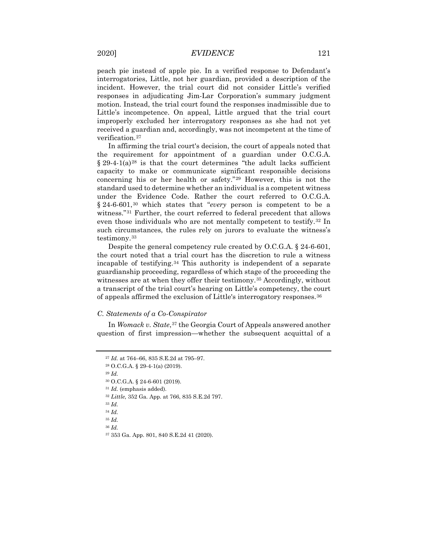peach pie instead of apple pie. In a verified response to Defendant's interrogatories, Little, not her guardian, provided a description of the incident. However, the trial court did not consider Little's verified responses in adjudicating Jim-Lar Corporation's summary judgment motion. Instead, the trial court found the responses inadmissible due to Little's incompetence. On appeal, Little argued that the trial court improperly excluded her interrogatory responses as she had not yet received a guardian and, accordingly, was not incompetent at the time of verification.[27](#page-5-0)

In affirming the trial court's decision, the court of appeals noted that the requirement for appointment of a guardian under O.C.G.A.  $§$  29-4-1(a)<sup>[28](#page-5-1)</sup> is that the court determines "the adult lacks sufficient capacity to make or communicate significant responsible decisions concerning his or her health or safety."[29](#page-5-2) However, this is not the standard used to determine whether an individual is a competent witness under the Evidence Code. Rather the court referred to O.C.G.A. § 24-6-601,[30](#page-5-3) which states that "*every* person is competent to be a witness."[31](#page-5-4) Further, the court referred to federal precedent that allows even those individuals who are not mentally competent to testify.[32](#page-5-5) In such circumstances, the rules rely on jurors to evaluate the witness's testimony.[33](#page-5-6)

Despite the general competency rule created by O.C.G.A. § 24-6-601, the court noted that a trial court has the discretion to rule a witness incapable of testifying.<sup>[34](#page-5-7)</sup> This authority is independent of a separate guardianship proceeding, regardless of which stage of the proceeding the witnesses are at when they offer their testimony.<sup>[35](#page-5-8)</sup> Accordingly, without a transcript of the trial court's hearing on Little's competency, the court of appeals affirmed the exclusion of Little's interrogatory responses.[36](#page-5-9)

#### *C. Statements of a Co-Conspirator*

<span id="page-5-0"></span>In *Womack v. State*, <sup>[37](#page-5-10)</sup> the Georgia Court of Appeals answered another question of first impression—whether the subsequent acquittal of a

<span id="page-5-2"></span><sup>29</sup> *Id.*

<span id="page-5-1"></span><sup>27</sup> *Id.* at 764–66, 835 S.E.2d at 795–97.

<sup>28</sup> O.C.G.A. § 29-4-1(a) (2019).

<sup>30</sup> O.C.G.A. § 24-6-601 (2019).

<sup>31</sup> *Id.* (emphasis added).

<span id="page-5-6"></span><span id="page-5-5"></span><span id="page-5-4"></span><span id="page-5-3"></span><sup>32</sup> *Little*, 352 Ga. App. at 766, 835 S.E.2d 797.

<sup>33</sup> *Id.*

<sup>34</sup> *Id.*

<span id="page-5-10"></span><span id="page-5-9"></span><span id="page-5-8"></span><span id="page-5-7"></span><sup>35</sup> *Id.*

<sup>36</sup> *Id.*

<sup>37</sup> 353 Ga. App. 801, 840 S.E.2d 41 (2020).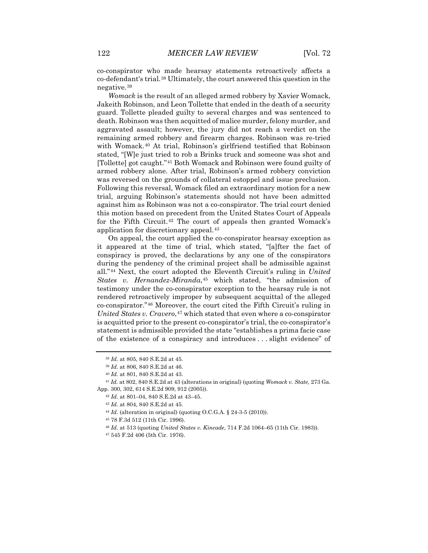co-conspirator who made hearsay statements retroactively affects a co-defendant's trial.[38](#page-6-0) Ultimately, the court answered this question in the negative.[39](#page-6-1)

*Womack* is the result of an alleged armed robbery by Xavier Womack, Jakeith Robinson, and Leon Tollette that ended in the death of a security guard. Tollette pleaded guilty to several charges and was sentenced to death. Robinson was then acquitted of malice murder, felony murder, and aggravated assault; however, the jury did not reach a verdict on the remaining armed robbery and firearm charges. Robinson was re-tried with Womack.[40](#page-6-2) At trial, Robinson's girlfriend testified that Robinson stated, "[W]e just tried to rob a Brinks truck and someone was shot and [Tollette] got caught."[41](#page-6-3) Both Womack and Robinson were found guilty of armed robbery alone. After trial, Robinson's armed robbery conviction was reversed on the grounds of collateral estoppel and issue preclusion. Following this reversal, Womack filed an extraordinary motion for a new trial, arguing Robinson's statements should not have been admitted against him as Robinson was not a co-conspirator. The trial court denied this motion based on precedent from the United States Court of Appeals for the Fifth Circuit.[42](#page-6-4) The court of appeals then granted Womack's application for discretionary appeal.[43](#page-6-5)

On appeal, the court applied the co-conspirator hearsay exception as it appeared at the time of trial, which stated, "[a]fter the fact of conspiracy is proved, the declarations by any one of the conspirators during the pendency of the criminal project shall be admissible against all."[44](#page-6-6) Next, the court adopted the Eleventh Circuit's ruling in *United States v. Hernandez-Miranda*,[45](#page-6-7) which stated, "the admission of testimony under the co-conspirator exception to the hearsay rule is not rendered retroactively improper by subsequent acquittal of the alleged co-conspirator."[46](#page-6-8) Moreover, the court cited the Fifth Circuit's ruling in *United States v. Cravero*,<sup>[47](#page-6-9)</sup> which stated that even where a co-conspirator is acquitted prior to the present co-conspirator's trial, the co-conspirator's statement is admissible provided the state "establishes a prima facie case of the existence of a conspiracy and introduces . . . slight evidence" of

<sup>38</sup> *Id.* at 805, 840 S.E.2d at 45.

<sup>39</sup> *Id.* at 806, 840 S.E.2d at 46.

<sup>40</sup> *Id.* at 801, 840 S.E.2d at 43.

<span id="page-6-7"></span><span id="page-6-6"></span><span id="page-6-5"></span><span id="page-6-4"></span><span id="page-6-3"></span><span id="page-6-2"></span><span id="page-6-1"></span><span id="page-6-0"></span><sup>41</sup> *Id.* at 802, 840 S.E.2d at 43 (alterations in original) (quoting *Womack v. State,* 273 Ga. App. 300, 302, 614 S.E.2d 909, 912 (2005)).

<sup>42</sup> *Id.* at 801–04, 840 S.E.2d at 43–45.

<sup>43</sup> *Id.* at 804, 840 S.E.2d at 45.

<sup>44</sup> *Id.* (alteration in original) (quoting O.C.G.A. § 24-3-5 (2010)).

<sup>45</sup> 78 F.3d 512 (11th Cir. 1996).

<span id="page-6-8"></span><sup>46</sup> *Id.* at 513 (quoting *United States v. Kincade*, 714 F.2d 1064–65 (11th Cir. 1983)).

<span id="page-6-9"></span><sup>47</sup> 545 F.2d 406 (5th Cir. 1976).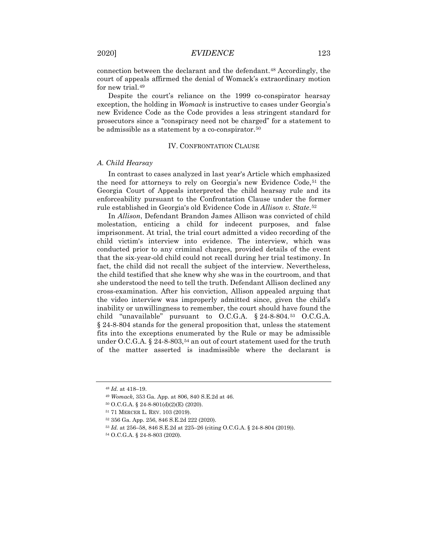connection between the declarant and the defendant.[48](#page-7-0) Accordingly, the court of appeals affirmed the denial of Womack's extraordinary motion for new trial.[49](#page-7-1)

Despite the court's reliance on the 1999 co-conspirator hearsay exception, the holding in *Womack* is instructive to cases under Georgia's new Evidence Code as the Code provides a less stringent standard for prosecutors since a "conspiracy need not be charged" for a statement to be admissible as a statement by a co-conspirator.<sup>[50](#page-7-2)</sup>

## IV. CONFRONTATION CLAUSE

#### *A. Child Hearsay*

In contrast to cases analyzed in last year's Article which emphasized the need for attorneys to rely on Georgia's new Evidence Code,<sup>[51](#page-7-3)</sup> the Georgia Court of Appeals interpreted the child hearsay rule and its enforceability pursuant to the Confrontation Clause under the former rule established in Georgia's old Evidence Code in *Allison v. State*.[52](#page-7-4)

In *Allison*, Defendant Brandon James Allison was convicted of child molestation, enticing a child for indecent purposes, and false imprisonment. At trial, the trial court admitted a video recording of the child victim's interview into evidence. The interview, which was conducted prior to any criminal charges, provided details of the event that the six-year-old child could not recall during her trial testimony. In fact, the child did not recall the subject of the interview. Nevertheless, the child testified that she knew why she was in the courtroom, and that she understood the need to tell the truth. Defendant Allison declined any cross-examination. After his conviction, Allison appealed arguing that the video interview was improperly admitted since, given the child's inability or unwillingness to remember, the court should have found the child "unavailable" pursuant to O.C.G.A. § 24-8-804.[53](#page-7-5) O.C.G.A. § 24-8-804 stands for the general proposition that, unless the statement fits into the exceptions enumerated by the Rule or may be admissible under O.C.G.A. § 24-8-803,<sup>[54](#page-7-6)</sup> an out of court statement used for the truth of the matter asserted is inadmissible where the declarant is

<sup>48</sup> *Id.* at 418–19.

<span id="page-7-1"></span><span id="page-7-0"></span><sup>49</sup> *Womack*, 353 Ga. App. at 806, 840 S.E.2d at 46.

<span id="page-7-2"></span><sup>50</sup> O.C.G.A. § 24-8-801(d)(2)(E) (2020).

<span id="page-7-3"></span><sup>51</sup> 71 MERCER L. REV. 103 (2019).

<span id="page-7-5"></span><span id="page-7-4"></span><sup>52</sup> 356 Ga. App. 256, 846 S.E.2d 222 (2020).

<sup>53</sup> *Id.* at 256–58, 846 S.E.2d at 225–26 (citing O.C.G.A. § 24-8-804 (2019)).

<span id="page-7-6"></span><sup>54</sup> O.C.G.A. § 24-8-803 (2020).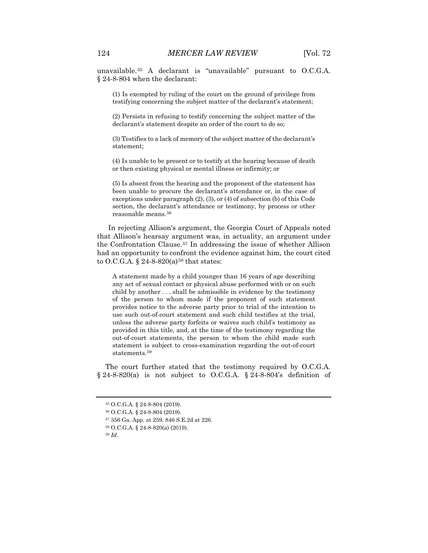unavailable.[55](#page-8-0) A declarant is "unavailable" pursuant to O.C.G.A. § 24-8-804 when the declarant:

(1) Is exempted by ruling of the court on the ground of privilege from testifying concerning the subject matter of the declarant's statement;

(2) Persists in refusing to testify concerning the subject matter of the declarant's statement despite an order of the court to do so;

(3) Testifies to a lack of memory of the subject matter of the declarant's statement;

(4) Is unable to be present or to testify at the hearing because of death or then existing physical or mental illness or infirmity; or

(5) Is absent from the hearing and the proponent of the statement has been unable to procure the declarant's attendance or, in the case of exceptions under paragraph (2), (3), or (4) of subsection (b) of this Code section, the declarant's attendance or testimony, by process or other reasonable means.[56](#page-8-1)

In rejecting Allison's argument, the Georgia Court of Appeals noted that Allison's hearsay argument was, in actuality, an argument under the Confrontation Clause.[57](#page-8-2) In addressing the issue of whether Allison had an opportunity to confront the evidence against him, the court cited to O.C.G.A.  $\S 24-8-820(a)$ <sup>[58](#page-8-3)</sup> that states:

A statement made by a child younger than 16 years of age describing any act of sexual contact or physical abuse performed with or on such child by another . . . shall be admissible in evidence by the testimony of the person to whom made if the proponent of such statement provides notice to the adverse party prior to trial of the intention to use such out-of-court statement and such child testifies at the trial, unless the adverse party forfeits or waives such child's testimony as provided in this title, and, at the time of the testimony regarding the out-of-court statements, the person to whom the child made such statement is subject to cross-examination regarding the out-of-court statements.[59](#page-8-4)

<span id="page-8-0"></span>The court further stated that the testimony required by O.C.G.A.  $\S 24-8-820(a)$  is not subject to O.C.G.A.  $\S 24-8-804$ 's definition of

<sup>55</sup> O.C.G.A. § 24-8-804 (2019).

<sup>56</sup> O.C.G.A. § 24-8-804 (2019).

<span id="page-8-3"></span><span id="page-8-2"></span><span id="page-8-1"></span><sup>57</sup> 356 Ga. App. at 259, 846 S.E.2d at 226.

<sup>58</sup> O.C.G.A. § 24-8-820(a) (2019).

<span id="page-8-4"></span><sup>59</sup> *Id.*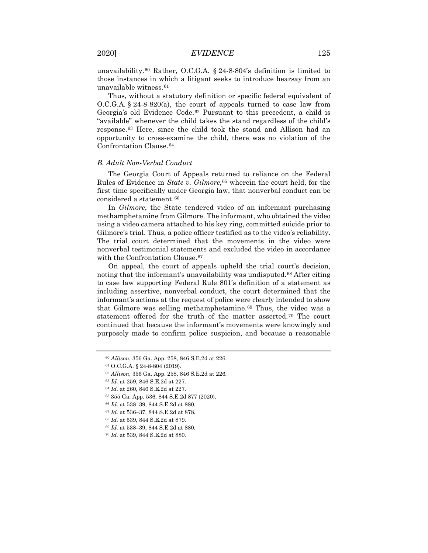unavailability.[60](#page-9-0) Rather, O.C.G.A. § 24-8-804's definition is limited to those instances in which a litigant seeks to introduce hearsay from an unavailable witness.[61](#page-9-1)

Thus, without a statutory definition or specific federal equivalent of O.C.G.A. § 24-8-820(a), the court of appeals turned to case law from Georgia's old Evidence Code.[62](#page-9-2) Pursuant to this precedent, a child is "available" whenever the child takes the stand regardless of the child's response.[63](#page-9-3) Here, since the child took the stand and Allison had an opportunity to cross-examine the child, there was no violation of the Confrontation Clause.[64](#page-9-4)

#### *B. Adult Non-Verbal Conduct*

The Georgia Court of Appeals returned to reliance on the Federal Rules of Evidence in *State v. Gilmore*, <sup>[65](#page-9-5)</sup> wherein the court held, for the first time specifically under Georgia law, that nonverbal conduct can be considered a statement.<sup>[66](#page-9-6)</sup>

In *Gilmore*, the State tendered video of an informant purchasing methamphetamine from Gilmore. The informant, who obtained the video using a video camera attached to his key ring, committed suicide prior to Gilmore's trial. Thus, a police officer testified as to the video's reliability. The trial court determined that the movements in the video were nonverbal testimonial statements and excluded the video in accordance with the Confrontation Clause.<sup>[67](#page-9-7)</sup>

On appeal, the court of appeals upheld the trial court's decision, noting that the informant's unavailability was undisputed.[68](#page-9-8) After citing to case law supporting Federal Rule 801's definition of a statement as including assertive, nonverbal conduct, the court determined that the informant's actions at the request of police were clearly intended to show that Gilmore was selling methamphetamine.<sup>[69](#page-9-9)</sup> Thus, the video was a statement offered for the truth of the matter asserted.[70](#page-9-10) The court continued that because the informant's movements were knowingly and purposely made to confirm police suspicion, and because a reasonable

<span id="page-9-0"></span><sup>60</sup> *Allison*, 356 Ga. App. 258, 846 S.E.2d at 226.

<span id="page-9-1"></span><sup>61</sup> O.C.G.A. § 24-8-804 (2019).

<span id="page-9-2"></span><sup>62</sup> *Allison*, 356 Ga. App. 258, 846 S.E.2d at 226.

<span id="page-9-4"></span><span id="page-9-3"></span><sup>63</sup> *Id.* at 259, 846 S.E.2d at 227.

<sup>64</sup> *Id.* at 260, 846 S.E.2d at 227.

<sup>65</sup> 355 Ga. App. 536, 844 S.E.2d 877 (2020).

<span id="page-9-6"></span><span id="page-9-5"></span><sup>66</sup> *Id.* at 538–39, 844 S.E.2d at 880.

<span id="page-9-8"></span><span id="page-9-7"></span><sup>67</sup> *Id.* at 536–37, 844 S.E.2d at 878.

<sup>68</sup> *Id.* at 539, 844 S.E.2d at 879.

<span id="page-9-9"></span><sup>69</sup> *Id.* at 538–39, 844 S.E.2d at 880.

<span id="page-9-10"></span><sup>70</sup> *Id.* at 539, 844 S.E.2d at 880.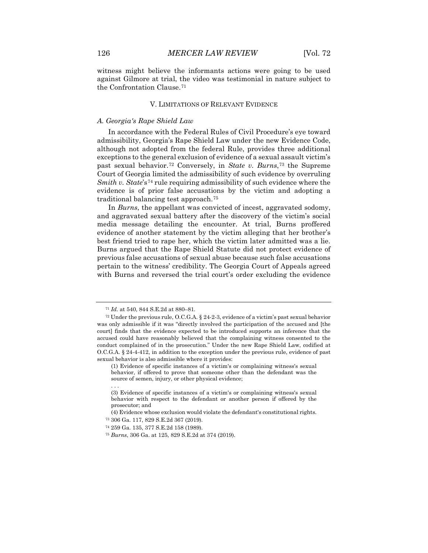witness might believe the informants actions were going to be used against Gilmore at trial, the video was testimonial in nature subject to the Confrontation Clause.[71](#page-10-0)

#### V. LIMITATIONS OF RELEVANT EVIDENCE

#### *A. Georgia's Rape Shield Law*

In accordance with the Federal Rules of Civil Procedure's eye toward admissibility, Georgia's Rape Shield Law under the new Evidence Code, although not adopted from the federal Rule, provides three additional exceptions to the general exclusion of evidence of a sexual assault victim's past sexual behavior.[72](#page-10-1) Conversely, in *State v. Burns*,[73](#page-10-2) the Supreme Court of Georgia limited the admissibility of such evidence by overruling *Smith v. State*'s<sup>[74](#page-10-3)</sup> rule requiring admissibility of such evidence where the evidence is of prior false accusations by the victim and adopting a traditional balancing test approach.[75](#page-10-4)

In *Burns*, the appellant was convicted of incest, aggravated sodomy, and aggravated sexual battery after the discovery of the victim's social media message detailing the encounter. At trial, Burns proffered evidence of another statement by the victim alleging that her brother's best friend tried to rape her, which the victim later admitted was a lie. Burns argued that the Rape Shield Statute did not protect evidence of previous false accusations of sexual abuse because such false accusations pertain to the witness' credibility. The Georgia Court of Appeals agreed with Burns and reversed the trial court's order excluding the evidence

<sup>71</sup> *Id.* at 540, 844 S.E.2d at 880–81.

<span id="page-10-1"></span><span id="page-10-0"></span> $72$  Under the previous rule, O.C.G.A.  $\S$  24-2-3, evidence of a victim's past sexual behavior was only admissible if it was "directly involved the participation of the accused and [the court] finds that the evidence expected to be introduced supports an inference that the accused could have reasonably believed that the complaining witness consented to the conduct complained of in the prosecution." Under the new Rape Shield Law, codified at O.C.G.A. § 24-4-412, in addition to the exception under the previous rule, evidence of past sexual behavior is also admissible where it provides:

<sup>(1)</sup> Evidence of specific instances of a victim's or complaining witness's sexual behavior, if offered to prove that someone other than the defendant was the source of semen, injury, or other physical evidence;

<sup>.</sup> . . (3) Evidence of specific instances of a victim's or complaining witness's sexual behavior with respect to the defendant or another person if offered by the prosecutor; and

<sup>(4)</sup> Evidence whose exclusion would violate the defendant's constitutional rights. <sup>73</sup> 306 Ga. 117, 829 S.E.2d 367 (2019).

<span id="page-10-3"></span><span id="page-10-2"></span><sup>74</sup> 259 Ga. 135, 377 S.E.2d 158 (1989).

<span id="page-10-4"></span><sup>75</sup> *Burns*, 306 Ga. at 125, 829 S.E.2d at 374 (2019).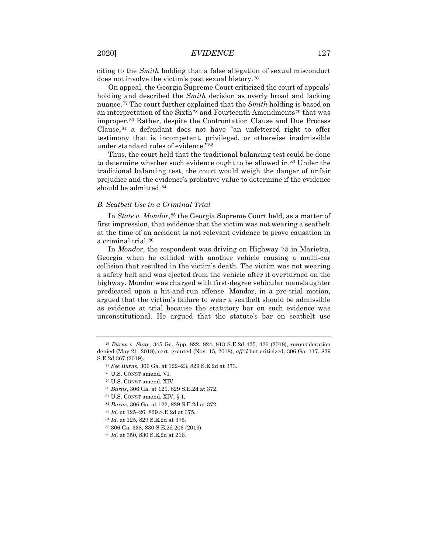citing to the *Smith* holding that a false allegation of sexual misconduct does not involve the victim's past sexual history.[76](#page-11-0)

On appeal, the Georgia Supreme Court criticized the court of appeals' holding and described the *Smith* decision as overly broad and lacking nuance.[77](#page-11-1) The court further explained that the *Smith* holding is based on an interpretation of the Sixth<sup>[78](#page-11-2)</sup> and Fourteenth Amendments<sup>[79](#page-11-3)</sup> that was improper.[80](#page-11-4) Rather, despite the Confrontation Clause and Due Process Clause,[81](#page-11-5) a defendant does not have "an unfettered right to offer testimony that is incompetent, privileged, or otherwise inadmissible under standard rules of evidence."[82](#page-11-6)

Thus, the court held that the traditional balancing test could be done to determine whether such evidence ought to be allowed in.<sup>[83](#page-11-7)</sup> Under the traditional balancing test, the court would weigh the danger of unfair prejudice and the evidence's probative value to determine if the evidence should be admitted.<sup>[84](#page-11-8)</sup>

## *B. Seatbelt Use in a Criminal Trial*

In *State v. Mondor*,<sup>[85](#page-11-9)</sup> the Georgia Supreme Court held, as a matter of first impression, that evidence that the victim was not wearing a seatbelt at the time of an accident is not relevant evidence to prove causation in a criminal trial.[86](#page-11-10)

In *Mondor*, the respondent was driving on Highway 75 in Marietta, Georgia when he collided with another vehicle causing a multi-car collision that resulted in the victim's death. The victim was not wearing a safety belt and was ejected from the vehicle after it overturned on the highway. Mondor was charged with first-degree vehicular manslaughter predicated upon a hit-and-run offense. Mondor, in a pre-trial motion, argued that the victim's failure to wear a seatbelt should be admissible as evidence at trial because the statutory bar on such evidence was unconstitutional. He argued that the statute's bar on seatbelt use

- <span id="page-11-8"></span><span id="page-11-7"></span><sup>83</sup> *Id.* at 125–26, 829 S.E.2d at 375.
- <sup>84</sup> *Id.* at 125, 829 S.E.2d at 375.
- <span id="page-11-9"></span><sup>85</sup> 306 Ga. 338, 830 S.E.2d 206 (2019).

<span id="page-11-3"></span><span id="page-11-2"></span><span id="page-11-1"></span><span id="page-11-0"></span><sup>76</sup> *Burns v. State*, 345 Ga. App. 822, 824, 813 S.E.2d 425, 426 (2018), reconsideration denied (May 21, 2018), cert. granted (Nov. 15, 2018), *aff'd* but criticized, 306 Ga. 117, 829 S.E.2d 367 (2019).

<sup>77</sup> *See Burns*, 306 Ga. at 122–23, 829 S.E.2d at 373.

<sup>78</sup> U.S. CONST amend. VI.

<span id="page-11-4"></span><sup>79</sup> U.S. CONST amend. XIV.

<sup>80</sup> *Burns*, 306 Ga. at 121, 829 S.E.2d at 372.

<span id="page-11-5"></span><sup>81</sup> U.S. CONST amend. XIV, § 1.

<span id="page-11-6"></span><sup>82</sup> *Burns*, 306 Ga. at 122, 829 S.E.2d at 372.

<span id="page-11-10"></span><sup>86</sup> *Id.* at 350, 830 S.E.2d at 216.